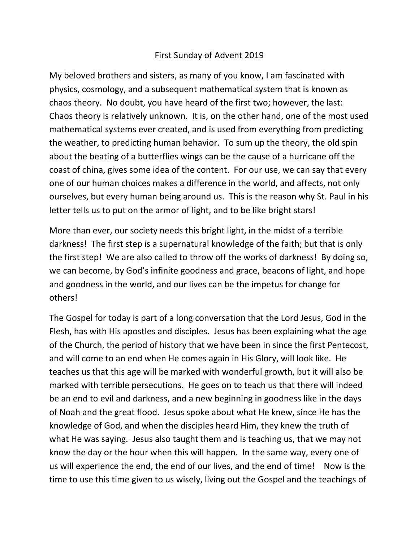## First Sunday of Advent 2019

My beloved brothers and sisters, as many of you know, I am fascinated with physics, cosmology, and a subsequent mathematical system that is known as chaos theory. No doubt, you have heard of the first two; however, the last: Chaos theory is relatively unknown. It is, on the other hand, one of the most used mathematical systems ever created, and is used from everything from predicting the weather, to predicting human behavior. To sum up the theory, the old spin about the beating of a butterflies wings can be the cause of a hurricane off the coast of china, gives some idea of the content. For our use, we can say that every one of our human choices makes a difference in the world, and affects, not only ourselves, but every human being around us. This is the reason why St. Paul in his letter tells us to put on the armor of light, and to be like bright stars!

More than ever, our society needs this bright light, in the midst of a terrible darkness! The first step is a supernatural knowledge of the faith; but that is only the first step! We are also called to throw off the works of darkness! By doing so, we can become, by God's infinite goodness and grace, beacons of light, and hope and goodness in the world, and our lives can be the impetus for change for others!

The Gospel for today is part of a long conversation that the Lord Jesus, God in the Flesh, has with His apostles and disciples. Jesus has been explaining what the age of the Church, the period of history that we have been in since the first Pentecost, and will come to an end when He comes again in His Glory, will look like. He teaches us that this age will be marked with wonderful growth, but it will also be marked with terrible persecutions. He goes on to teach us that there will indeed be an end to evil and darkness, and a new beginning in goodness like in the days of Noah and the great flood. Jesus spoke about what He knew, since He has the knowledge of God, and when the disciples heard Him, they knew the truth of what He was saying. Jesus also taught them and is teaching us, that we may not know the day or the hour when this will happen. In the same way, every one of us will experience the end, the end of our lives, and the end of time! Now is the time to use this time given to us wisely, living out the Gospel and the teachings of